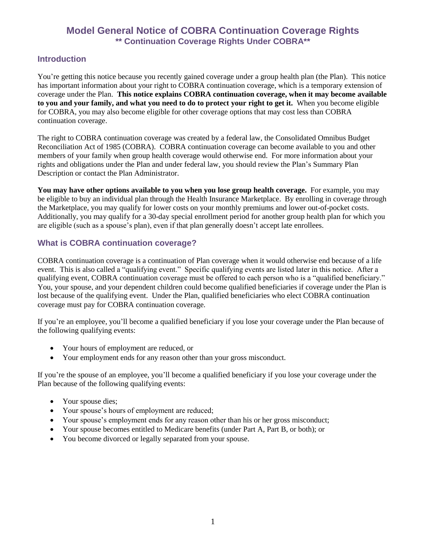## **Model General Notice of COBRA Continuation Coverage Rights \*\* Continuation Coverage Rights Under COBRA\*\***

#### **Introduction**

You're getting this notice because you recently gained coverage under a group health plan (the Plan). This notice has important information about your right to COBRA continuation coverage, which is a temporary extension of coverage under the Plan. **This notice explains COBRA continuation coverage, when it may become available to you and your family, and what you need to do to protect your right to get it.** When you become eligible for COBRA, you may also become eligible for other coverage options that may cost less than COBRA continuation coverage.

The right to COBRA continuation coverage was created by a federal law, the Consolidated Omnibus Budget Reconciliation Act of 1985 (COBRA). COBRA continuation coverage can become available to you and other members of your family when group health coverage would otherwise end. For more information about your rights and obligations under the Plan and under federal law, you should review the Plan's Summary Plan Description or contact the Plan Administrator.

**You may have other options available to you when you lose group health coverage.** For example, you may be eligible to buy an individual plan through the Health Insurance Marketplace. By enrolling in coverage through the Marketplace, you may qualify for lower costs on your monthly premiums and lower out-of-pocket costs. Additionally, you may qualify for a 30-day special enrollment period for another group health plan for which you are eligible (such as a spouse's plan), even if that plan generally doesn't accept late enrollees.

#### **What is COBRA continuation coverage?**

COBRA continuation coverage is a continuation of Plan coverage when it would otherwise end because of a life event. This is also called a "qualifying event." Specific qualifying events are listed later in this notice. After a qualifying event, COBRA continuation coverage must be offered to each person who is a "qualified beneficiary." You, your spouse, and your dependent children could become qualified beneficiaries if coverage under the Plan is lost because of the qualifying event. Under the Plan, qualified beneficiaries who elect COBRA continuation coverage must pay for COBRA continuation coverage.

If you're an employee, you'll become a qualified beneficiary if you lose your coverage under the Plan because of the following qualifying events:

- Your hours of employment are reduced, or
- Your employment ends for any reason other than your gross misconduct.

If you're the spouse of an employee, you'll become a qualified beneficiary if you lose your coverage under the Plan because of the following qualifying events:

- Your spouse dies;
- Your spouse's hours of employment are reduced;
- Your spouse's employment ends for any reason other than his or her gross misconduct;
- Your spouse becomes entitled to Medicare benefits (under Part A, Part B, or both); or
- You become divorced or legally separated from your spouse.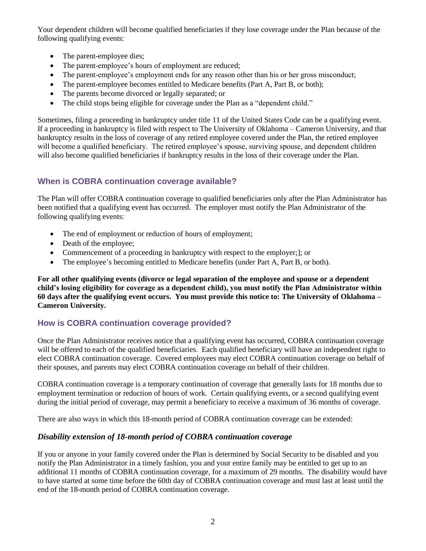Your dependent children will become qualified beneficiaries if they lose coverage under the Plan because of the following qualifying events:

- The parent-employee dies;
- The parent-employee's hours of employment are reduced;
- The parent-employee's employment ends for any reason other than his or her gross misconduct;
- The parent-employee becomes entitled to Medicare benefits (Part A, Part B, or both);
- The parents become divorced or legally separated; or
- The child stops being eligible for coverage under the Plan as a "dependent child."

Sometimes, filing a proceeding in bankruptcy under title 11 of the United States Code can be a qualifying event. If a proceeding in bankruptcy is filed with respect to The University of Oklahoma – Cameron University, and that bankruptcy results in the loss of coverage of any retired employee covered under the Plan, the retired employee will become a qualified beneficiary. The retired employee's spouse, surviving spouse, and dependent children will also become qualified beneficiaries if bankruptcy results in the loss of their coverage under the Plan.

#### **When is COBRA continuation coverage available?**

The Plan will offer COBRA continuation coverage to qualified beneficiaries only after the Plan Administrator has been notified that a qualifying event has occurred. The employer must notify the Plan Administrator of the following qualifying events:

- The end of employment or reduction of hours of employment;
- Death of the employee;
- Commencement of a proceeding in bankruptcy with respect to the employer;]; or
- The employee's becoming entitled to Medicare benefits (under Part A, Part B, or both).

**For all other qualifying events (divorce or legal separation of the employee and spouse or a dependent child's losing eligibility for coverage as a dependent child), you must notify the Plan Administrator within 60 days after the qualifying event occurs. You must provide this notice to: The University of Oklahoma – Cameron University.**

#### **How is COBRA continuation coverage provided?**

Once the Plan Administrator receives notice that a qualifying event has occurred, COBRA continuation coverage will be offered to each of the qualified beneficiaries. Each qualified beneficiary will have an independent right to elect COBRA continuation coverage. Covered employees may elect COBRA continuation coverage on behalf of their spouses, and parents may elect COBRA continuation coverage on behalf of their children.

COBRA continuation coverage is a temporary continuation of coverage that generally lasts for 18 months due to employment termination or reduction of hours of work. Certain qualifying events, or a second qualifying event during the initial period of coverage, may permit a beneficiary to receive a maximum of 36 months of coverage.

There are also ways in which this 18-month period of COBRA continuation coverage can be extended:

#### *Disability extension of 18-month period of COBRA continuation coverage*

If you or anyone in your family covered under the Plan is determined by Social Security to be disabled and you notify the Plan Administrator in a timely fashion, you and your entire family may be entitled to get up to an additional 11 months of COBRA continuation coverage, for a maximum of 29 months. The disability would have to have started at some time before the 60th day of COBRA continuation coverage and must last at least until the end of the 18-month period of COBRA continuation coverage.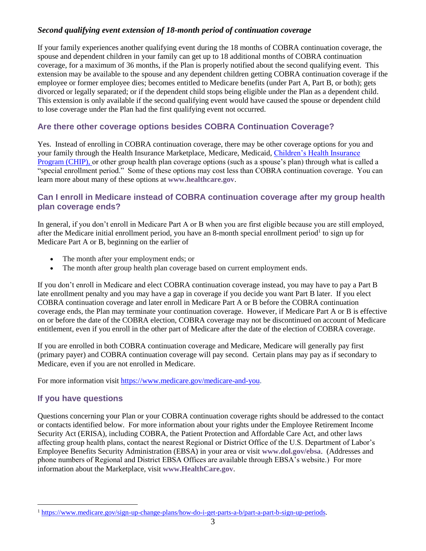#### *Second qualifying event extension of 18-month period of continuation coverage*

If your family experiences another qualifying event during the 18 months of COBRA continuation coverage, the spouse and dependent children in your family can get up to 18 additional months of COBRA continuation coverage, for a maximum of 36 months, if the Plan is properly notified about the second qualifying event. This extension may be available to the spouse and any dependent children getting COBRA continuation coverage if the employee or former employee dies; becomes entitled to Medicare benefits (under Part A, Part B, or both); gets divorced or legally separated; or if the dependent child stops being eligible under the Plan as a dependent child. This extension is only available if the second qualifying event would have caused the spouse or dependent child to lose coverage under the Plan had the first qualifying event not occurred.

## **Are there other coverage options besides COBRA Continuation Coverage?**

Yes. Instead of enrolling in COBRA continuation coverage, there may be other coverage options for you and your family through the Health Insurance Marketplace, Medicare, Medicaid[, Children's Health Insurance](https://www.healthcare.gov/are-my-children-eligible-for-chip)  [Program \(CHIP\),](https://www.healthcare.gov/are-my-children-eligible-for-chip) or other group health plan coverage options (such as a spouse's plan) through what is called a "special enrollment period." Some of these options may cost less than COBRA continuation coverage. You can learn more about many of these options at **[www.healthcare.gov](https://www.dol.gov/ebsa/www.healthcare.gov)**.

#### **Can I enroll in Medicare instead of COBRA continuation coverage after my group health plan coverage ends?**

In general, if you don't enroll in Medicare Part A or B when you are first eligible because you are still employed, after the Medicare initial enrollment period, you have an 8-month special enrollment period<sup>1</sup> to sign up for Medicare Part A or B, beginning on the earlier of

- The month after your employment ends; or
- The month after group health plan coverage based on current employment ends.

If you don't enroll in Medicare and elect COBRA continuation coverage instead, you may have to pay a Part B late enrollment penalty and you may have a gap in coverage if you decide you want Part B later. If you elect COBRA continuation coverage and later enroll in Medicare Part A or B before the COBRA continuation coverage ends, the Plan may terminate your continuation coverage. However, if Medicare Part A or B is effective on or before the date of the COBRA election, COBRA coverage may not be discontinued on account of Medicare entitlement, even if you enroll in the other part of Medicare after the date of the election of COBRA coverage.

If you are enrolled in both COBRA continuation coverage and Medicare, Medicare will generally pay first (primary payer) and COBRA continuation coverage will pay second. Certain plans may pay as if secondary to Medicare, even if you are not enrolled in Medicare.

For more information visit [https://www.medicare.gov/medicare-and-you.](https://www.medicare.gov/medicare-and-you)

### **If you have questions**

 $\overline{a}$ 

Questions concerning your Plan or your COBRA continuation coverage rights should be addressed to the contact or contacts identified below. For more information about your rights under the Employee Retirement Income Security Act (ERISA), including COBRA, the Patient Protection and Affordable Care Act, and other laws affecting group health plans, contact the nearest Regional or District Office of the U.S. Department of Labor's Employee Benefits Security Administration (EBSA) in your area or visit **[www.dol.gov/ebsa](http://www.dol.gov/ebsa)**. (Addresses and phone numbers of Regional and District EBSA Offices are available through EBSA's website.) For more information about the Marketplace, visit **[www.HealthCare.gov](http://www.healthcare.gov/)**.

<sup>1</sup> [https://www.medicare.gov/sign-up-change-plans/how-do-i-get-parts-a-b/part-a-part-b-sign-up-periods.](https://www.medicare.gov/sign-up-change-plans/how-do-i-get-parts-a-b/part-a-part-b-sign-up-periods)